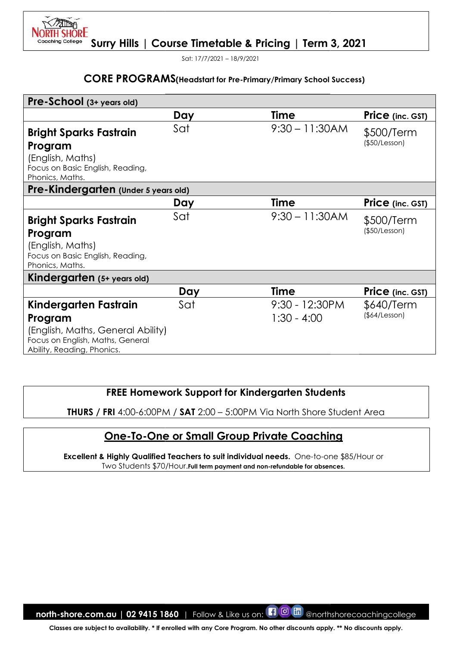Sat: 17/7/2021 – 18/9/2021

**SHORE** 

#### CORE PROGRAMS(Headstart for Pre-Primary/Primary

|                                                                                                                                         |                                             | <b>CORE PROGRAMS</b> (Headstart for Pre-Primary/Primary School Success)                                                         |                             |
|-----------------------------------------------------------------------------------------------------------------------------------------|---------------------------------------------|---------------------------------------------------------------------------------------------------------------------------------|-----------------------------|
| Pre-School (3+ years old)                                                                                                               |                                             |                                                                                                                                 |                             |
|                                                                                                                                         | Day                                         | <b>Time</b>                                                                                                                     | Price (inc. GST)            |
| <b>Bright Sparks Fastrain</b><br>Program<br>(English, Maths)<br>Focus on Basic English, Reading,<br>Phonics, Maths.                     | Sat                                         | $9:30 - 11:30AM$                                                                                                                | \$500/Term<br>(\$50/Lesson) |
| Pre-Kindergarten (Under 5 years old)                                                                                                    |                                             |                                                                                                                                 |                             |
|                                                                                                                                         | Day                                         | <b>Time</b>                                                                                                                     | Price (inc. GST)            |
| <b>Bright Sparks Fastrain</b><br>Program<br>(English, Maths)<br>Focus on Basic English, Reading,<br>Phonics, Maths.                     | Sat                                         | $9:30 - 11:30AM$                                                                                                                | \$500/Term<br>(\$50/Lesson) |
| Kindergarten (5+ years old)                                                                                                             |                                             |                                                                                                                                 |                             |
|                                                                                                                                         | Day                                         | <b>Time</b>                                                                                                                     | Price (inc. GST)            |
| Kindergarten Fastrain<br>Program<br>(English, Maths, General Ability)<br>Focus on English, Maths, General<br>Ability, Reading, Phonics. | Sat                                         | 9:30 - 12:30PM<br>$1:30 - 4:00$                                                                                                 | \$640/Term<br>(\$4/Lesson)  |
| <b>THURS / FRI 4:00-6:00PM / SAT 2:00 - 5:00PM Via North Shore Student Area</b>                                                         |                                             | <b>FREE Homework Support for Kindergarten Students</b>                                                                          |                             |
|                                                                                                                                         |                                             |                                                                                                                                 |                             |
| <b>Excellent &amp; Highly Qualified Teachers to suit individual needs.</b> One-to-one \$85/Hour or                                      |                                             | <b>One-To-One or Small Group Private Coaching</b><br>Two Students \$70/Hour. Full term payment and non-refundable for absences. |                             |
|                                                                                                                                         |                                             |                                                                                                                                 |                             |
|                                                                                                                                         |                                             |                                                                                                                                 |                             |
|                                                                                                                                         |                                             |                                                                                                                                 |                             |
| north-shore.com.au   02 9415 1860                                                                                                       | Follow & Like us on: <b>[1]</b> O <b>in</b> |                                                                                                                                 | @northshorecoachingcollege  |
| Classes are subject to availability. * If enrolled with any Core Program. No other discounts apply. ** No discounts apply.              |                                             |                                                                                                                                 |                             |

## FREE Homework Support for Kindergarten Students

# One-To-One or Small Group Private Coaching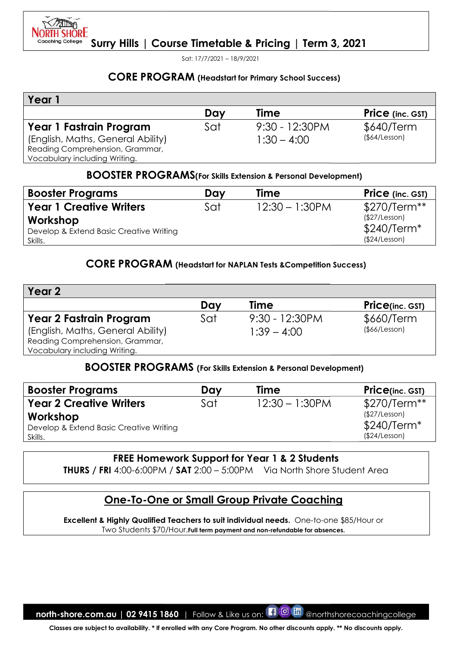

Sat: 17/7/2021 – 18/9/2021

## CORE PROGRAM (Headstart for Primary School Success)

| Year                                                                                                                             |     |                                    |                            |
|----------------------------------------------------------------------------------------------------------------------------------|-----|------------------------------------|----------------------------|
|                                                                                                                                  | Day | <b>Time</b>                        | <b>Price</b> (inc. GST)    |
| Year 1 Fastrain Program<br>(English, Maths, General Ability)<br>Reading Comprehension, Grammar,<br>Vocabulary including Writing. | Sat | $9:30 - 12:30$ PM<br>$1:30 - 4:00$ | \$640/Term<br>(§64/Lesson) |

#### BOOSTER PROGRAMS(For Skills Extension & Personal Development)

| <b>Booster Programs</b>                 | Dav | Time              | <b>Price</b> (inc. GST) |
|-----------------------------------------|-----|-------------------|-------------------------|
| <b>Year 1 Creative Writers</b>          | Sat | $12:30 - 1:30$ PM | $$270/Term**$           |
| Workshop                                |     |                   | (\$27/Lesson)           |
| Develop & Extend Basic Creative Writing |     |                   | $$240/Term*$            |
| Skills.                                 |     |                   | (\$24/Lesson)           |

## CORE PROGRAM (Headstart for NAPLAN Tests & Competition Success)

|                                                                                                                            |            | <b>CORE PROGRAM (Headstart for Primary School Success)</b>                           |                                         |
|----------------------------------------------------------------------------------------------------------------------------|------------|--------------------------------------------------------------------------------------|-----------------------------------------|
| Year 1                                                                                                                     |            |                                                                                      |                                         |
|                                                                                                                            | Day        | <b>Time</b>                                                                          | <b>Price</b> (inc. GST)                 |
| Year 1 Fastrain Program<br>(English, Maths, General Ability)<br>Reading Comprehension, Grammar,                            | Sat        | 9:30 - 12:30PM<br>$1:30 - 4:00$                                                      | \$640/Term<br>(\$4/Lesson)              |
| Vocabulary including Writing.                                                                                              |            |                                                                                      |                                         |
|                                                                                                                            |            | <b>BOOSTER PROGRAMS</b> (For Skills Extension & Personal Development)<br><b>Time</b> |                                         |
| <b>Booster Programs</b><br><b>Year 1 Creative Writers</b>                                                                  | Day<br>Sat | $12:30 - 1:30$ PM                                                                    | <b>Price</b> (inc. GST)<br>\$270/Term** |
|                                                                                                                            |            |                                                                                      | (\$27/Lesson)                           |
| Workshop<br>Develop & Extend Basic Creative Writing<br>Skills.                                                             |            |                                                                                      | $$240/Term*$<br>(\$24/Lesson)           |
|                                                                                                                            |            | <b>CORE PROGRAM</b> (Headstart for NAPLAN Tests & Competition Success)               |                                         |
| Year <sub>2</sub>                                                                                                          |            |                                                                                      |                                         |
|                                                                                                                            | Day        | Time                                                                                 | <b>Price(inc. GST)</b>                  |
| <b>Year 2 Fastrain Program</b>                                                                                             | Sat        | $9:30 - 12:30PM$                                                                     | \$660/Term                              |
| (English, Maths, General Ability)                                                                                          |            | $1:39 - 4:00$                                                                        | (\$66/Lesson)                           |
| Reading Comprehension, Grammar,                                                                                            |            |                                                                                      |                                         |
| Vocabulary including Writing.                                                                                              |            |                                                                                      |                                         |
|                                                                                                                            |            | <b>BOOSTER PROGRAMS</b> (For Skills Extension & Personal Development)                |                                         |
| <b>Booster Programs</b>                                                                                                    | Day        | <b>Time</b>                                                                          | Price(inc. GST)                         |
| <b>Year 2 Creative Writers</b>                                                                                             | Sat        | $12:30 - 1:30$ PM                                                                    | \$270/Term**                            |
| Workshop                                                                                                                   |            |                                                                                      | (\$27/Lesson)                           |
| Develop & Extend Basic Creative Writing                                                                                    |            |                                                                                      | \$240/Term*                             |
| Skills.                                                                                                                    |            |                                                                                      | (\$24/Lesson)                           |
|                                                                                                                            |            | <b>FREE Homework Support for Year 1 &amp; 2 Students</b>                             |                                         |
| <b>THURS</b> / FRI 4:00-6:00PM / SAT 2:00 - 5:00PM Via North Shore Student Area                                            |            |                                                                                      |                                         |
|                                                                                                                            |            | <u>One-To-One or Small Group Private Coaching</u>                                    |                                         |
| Excellent & Highly Qualified Teachers to suit individual needs. One-to-one \$85/Hour or                                    |            |                                                                                      |                                         |
|                                                                                                                            |            | Two Students \$70/Hour. Full term payment and non-refundable for absences.           |                                         |
|                                                                                                                            |            |                                                                                      |                                         |
|                                                                                                                            |            |                                                                                      |                                         |
|                                                                                                                            |            |                                                                                      |                                         |
|                                                                                                                            |            |                                                                                      |                                         |
|                                                                                                                            |            |                                                                                      |                                         |
|                                                                                                                            |            |                                                                                      |                                         |
| north-shore.com.au   02 9415 1860                                                                                          |            | Follow & Like us on: <b>10 M</b>                                                     | @northshorecoachingcollege              |
| Classes are subject to availability. * If enrolled with any Core Program. No other discounts apply. ** No discounts apply. |            |                                                                                      |                                         |

## BOOSTER PROGRAMS PROGRAMS (For Skills Extension & Personal Development)

| <b>Booster Programs</b>                 | Day | Time              | <b>Price(inc. GST)</b> |
|-----------------------------------------|-----|-------------------|------------------------|
| <b>Year 2 Creative Writers</b>          | Sat | $12:30 - 1:30$ PM | $$270/Term**$          |
| Workshop                                |     |                   | (\$27/Lesson)          |
| Develop & Extend Basic Creative Writing |     |                   | $$240/Term*$           |
| Skills.                                 |     |                   | (\$24/Lesson)          |

## FREE Homework Support for Year 1 & 2 Students

## One-To-One or Small Group Private Coaching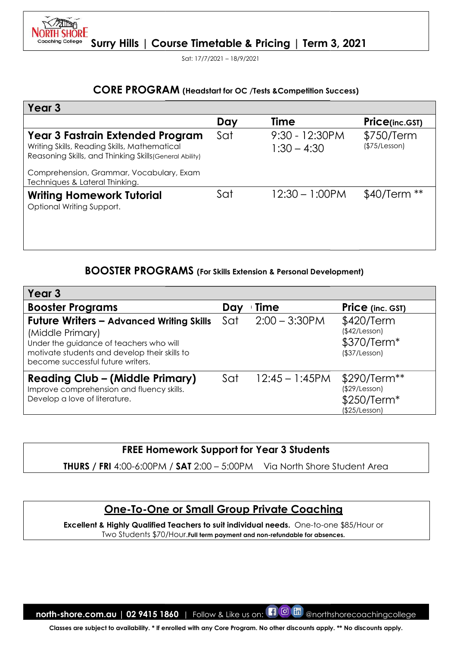Sat: 17/7/2021 – 18/9/2021

## CORE PROGRAM (Headstart for OC /Tests & Competition Success)

|                                                                                                                                                                                                      |     | <b>CORE PROGRAM</b> (Headstart for OC /Tests & Competition Success) |                                                               |
|------------------------------------------------------------------------------------------------------------------------------------------------------------------------------------------------------|-----|---------------------------------------------------------------------|---------------------------------------------------------------|
| Year 3                                                                                                                                                                                               |     |                                                                     |                                                               |
|                                                                                                                                                                                                      | Day | <b>Time</b>                                                         | Price(inc.GST)                                                |
| Year 3 Fastrain Extended Program<br>Writing Skills, Reading Skills, Mathematical<br>Reasoning Skills, and Thinking Skills (General Ability)                                                          | Sat | 9:30 - 12:30PM<br>$1:30 - 4:30$                                     | \$750/Term<br>(\$75/Lesson)                                   |
| Comprehension, Grammar, Vocabulary, Exam<br>Techniques & Lateral Thinking.                                                                                                                           |     |                                                                     |                                                               |
| <b>Writing Homework Tutorial</b><br>Optional Writing Support.                                                                                                                                        | Sat | $12:30 - 1:00$ PM                                                   | \$40/Term **                                                  |
| <b>BOOSTER PROGRAMS</b> (For Skills Extension & Personal Development)<br>Year <sub>3</sub>                                                                                                           |     |                                                                     |                                                               |
| <b>Booster Programs</b>                                                                                                                                                                              | Day | <b>Time</b>                                                         | <b>Price</b> (inc. GST)                                       |
| <b>Future Writers - Advanced Writing Skills</b><br>(Middle Primary)<br>Under the guidance of teachers who will<br>motivate students and develop their skills to<br>become successful future writers. | Sat | $2:00 - 3:30$ PM                                                    | \$420/Term<br>(\$42/Lesson)<br>\$370/Term*<br>(\$37/Lesson)   |
| <b>Reading Club – (Middle Primary)</b><br>Improve comprehension and fluency skills.<br>Develop a love of literature.                                                                                 | Sat | $12:45 - 1:45$ PM                                                   | \$290/Term**<br>(\$29/Lesson)<br>\$250/Term*<br>(\$25/Lesson) |
| <b>FREE Homework Support for Year 3 Students</b>                                                                                                                                                     |     |                                                                     |                                                               |
| <b>THURS / FRI 4:00-6:00PM / SAT 2:00 - 5:00PM</b>                                                                                                                                                   |     | Via North Shore Student Area                                        |                                                               |
|                                                                                                                                                                                                      |     |                                                                     |                                                               |
|                                                                                                                                                                                                      |     |                                                                     |                                                               |
| <b>One-To-One or Small Group Private Coaching</b>                                                                                                                                                    |     |                                                                     |                                                               |

## BOOSTER PROGRAMS PROGRAMS (For Skills Extension & Personal Development)

| Year <sub>3</sub>                                                                                                                                                                                    |     |                   |                                                                           |
|------------------------------------------------------------------------------------------------------------------------------------------------------------------------------------------------------|-----|-------------------|---------------------------------------------------------------------------|
| <b>Booster Programs</b>                                                                                                                                                                              | Day | Time              | <b>Price</b> (inc. GST)                                                   |
| <b>Future Writers - Advanced Writing Skills</b><br>(Middle Primary)<br>Under the guidance of teachers who will<br>motivate students and develop their skills to<br>become successful future writers. | Sat | $2:00 - 3:30$ PM  | \$420/Term<br>(\$42/Lesson)<br>\$370/Term <sup>*</sup><br>(\$37/Lesson)   |
| <b>Reading Club - (Middle Primary)</b><br>Improve comprehension and fluency skills.<br>Develop a love of literature.                                                                                 | Sat | $12:45 - 1:45$ PM | \$290/Term**<br>(\$29/Lesson)<br>\$250/Term <sup>*</sup><br>(\$25/Lesson) |

## FREE Homework Support for Year 3 Students Support for

# <u> One-To-One or Small Group Private Coaching</u>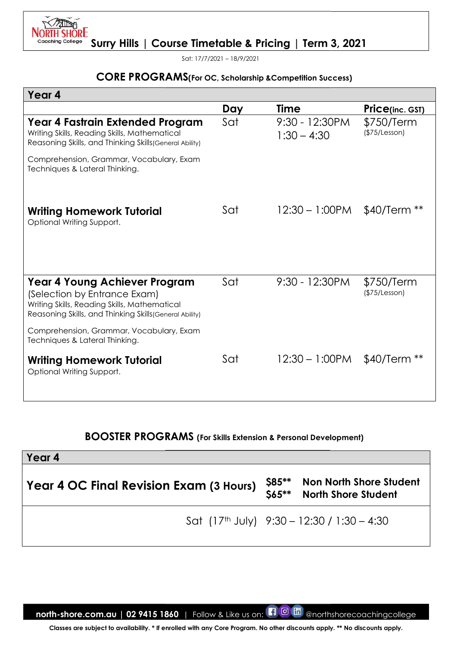

Sat: 17/7/2021 – 18/9/2021

# **CORE PROGRAMS**(For OC, Scholarship & Competition Success)

| <b>CORE PROGRAMS</b> (For OC, Scholarship & Competition Success)                                                                                                                           |     |                                                    |                                |
|--------------------------------------------------------------------------------------------------------------------------------------------------------------------------------------------|-----|----------------------------------------------------|--------------------------------|
| Year 4                                                                                                                                                                                     |     |                                                    |                                |
|                                                                                                                                                                                            | Day | <b>Time</b>                                        | <b>Price(inc. GST)</b>         |
| Year 4 Fastrain Extended Program<br>Writing Skills, Reading Skills, Mathematical<br>Reasoning Skills, and Thinking Skills (General Ability)                                                | Sat | 9:30 - 12:30PM<br>$1:30 - 4:30$                    | \$750/Term<br>(\$75/Lesson)    |
| Comprehension, Grammar, Vocabulary, Exam<br>Techniques & Lateral Thinking.                                                                                                                 |     |                                                    |                                |
| <b>Writing Homework Tutorial</b><br>Optional Writing Support.                                                                                                                              | Sat | $12:30 - 1:00$ PM                                  | $$40/Term **$                  |
| Year 4 Young Achiever Program<br>(Selection by Entrance Exam)<br>Writing Skills, Reading Skills, Mathematical<br>Reasoning Skills, and Thinking Skills (General Ability)                   | Sat | 9:30 - 12:30PM                                     | \$750/Term<br>(\$75/Lesson)    |
| Comprehension, Grammar, Vocabulary, Exam<br>Techniques & Lateral Thinking.                                                                                                                 |     |                                                    |                                |
| <b>Writing Homework Tutorial</b><br>Optional Writing Support.                                                                                                                              | Sat | $12:30 - 1:00$ PM                                  | $$40/Term **$                  |
| <b>BOOSTER PROGRAMS</b> (For Skills Extension & Personal Development)<br>Year 4                                                                                                            |     |                                                    |                                |
| Year 4 OC Final Revision Exam (3 Hours)                                                                                                                                                    |     | $$85***$<br>$$65***$<br><b>North Shore Student</b> | <b>Non North Shore Student</b> |
|                                                                                                                                                                                            |     | Sat $(17th$ July) $9:30 - 12:30 / 1:30 - 4:30$     |                                |
| north-shore.com.au   02 9415 1860   Follow & Like us on: 1 0<br>Classes are subject to availability. * If enrolled with any Core Program. No other discounts apply. ** No discounts apply. |     | Lini)                                              | @northshorecoachingcollege     |

## BOOSTER PROGRAMS PROGRAMS (For Skills Extension & Personal Development)

| Year 4                                         |               |                                                              |
|------------------------------------------------|---------------|--------------------------------------------------------------|
| <b>Year 4 OC Final Revision Exam (3 Hours)</b> | <b>\$85**</b> | <b>Non North Shore Student</b><br>\$65** North Shore Student |
|                                                |               | Sat $(17th$ July) $9:30 - 12:30 / 1:30 - 4:30$               |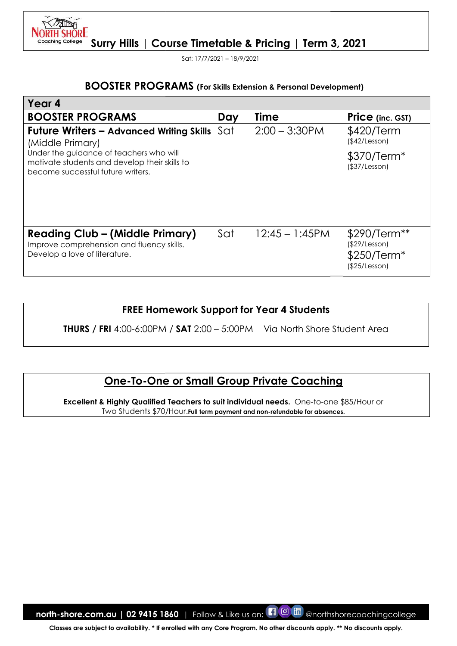Sat: 17/7/2021 – 18/9/2021

H SHORE

#### BOOSTER PROGRAMS (For Skills Extension & Personal Development)

| <b>BOOSTER PROGRAMS</b> (For Skills Extension & Personal Development)                                                                                                                                                      |     |                   |                                                               |
|----------------------------------------------------------------------------------------------------------------------------------------------------------------------------------------------------------------------------|-----|-------------------|---------------------------------------------------------------|
| Year 4                                                                                                                                                                                                                     |     |                   |                                                               |
| <b>BOOSTER PROGRAMS</b>                                                                                                                                                                                                    | Day | <b>Time</b>       | <b>Price</b> (inc. GST)                                       |
| <b>Future Writers – Advanced Writing Skills</b> $\text{Sat}$<br>(Middle Primary)                                                                                                                                           |     | $2:00 - 3:30$ PM  | \$420/Term<br>(\$42/Lesson)                                   |
| Under the guidance of teachers who will<br>motivate students and develop their skills to<br>become successful future writers.                                                                                              |     |                   | \$370/Term <sup>*</sup><br>(\$37/Lesson)                      |
| <b>Reading Club - (Middle Primary)</b><br>Improve comprehension and fluency skills.<br>Develop a love of literature.                                                                                                       | Sat | $12:45 - 1:45$ PM | \$290/Term**<br>(\$29/Lesson)<br>\$250/Term*<br>(\$25/Lesson) |
| <b>FREE Homework Support for Year 4 Students</b>                                                                                                                                                                           |     |                   |                                                               |
| <b>THURS</b> / FRI 4:00-6:00PM / SAT 2:00 - 5:00PM Via North Shore Student Area                                                                                                                                            |     |                   |                                                               |
| <b>One-To-One or Small Group Private Coaching</b><br>Excellent & Highly Qualified Teachers to suit individual needs. One-to-one \$85/Hour or<br>Two Students \$70/Hour. Full term payment and non-refundable for absences. |     |                   |                                                               |
|                                                                                                                                                                                                                            |     |                   |                                                               |
|                                                                                                                                                                                                                            |     |                   |                                                               |
|                                                                                                                                                                                                                            |     |                   |                                                               |
|                                                                                                                                                                                                                            |     |                   |                                                               |
|                                                                                                                                                                                                                            |     |                   |                                                               |
|                                                                                                                                                                                                                            |     |                   |                                                               |
| <b>north-shore.com.au</b>   02 9415 1860   Follow & Like us on: $\blacksquare$ $\blacksquare$ $\blacksquare$                                                                                                               |     |                   | @northshorecoachingcollege                                    |

## FREE Homework Support for Year 4 Students

## <u> One-To-One or Small Group Private Coaching</u>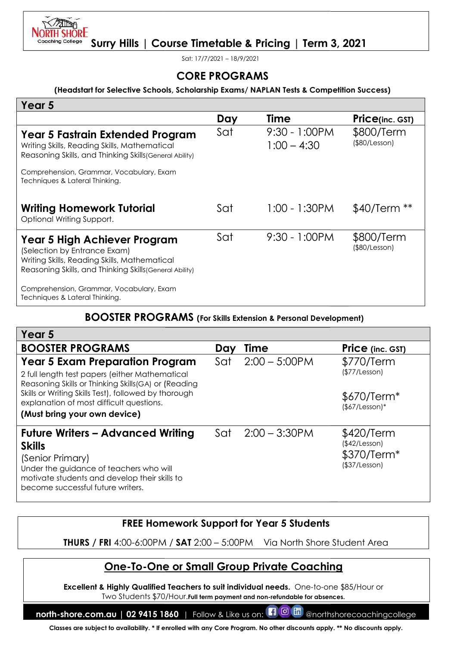

Sat: 17/7/2021 – 18/9/2021

#### (Headstart for Selective Schools, Schools, Scholarship Exams/ NAPLAN Tests & Competition Competition Success)

| (Headstart for Selective Schools, Scholarship Exams/NAPLAN Tests & Competition Success)                                                                                                                                                                                             | <b>CORE PROGRAMS</b> |                                   |                                                                          |  |
|-------------------------------------------------------------------------------------------------------------------------------------------------------------------------------------------------------------------------------------------------------------------------------------|----------------------|-----------------------------------|--------------------------------------------------------------------------|--|
| Year 5                                                                                                                                                                                                                                                                              |                      |                                   |                                                                          |  |
|                                                                                                                                                                                                                                                                                     | Day                  | <b>Time</b>                       | <b>Price(inc. GST)</b>                                                   |  |
| Year 5 Fastrain Extended Program<br>Writing Skills, Reading Skills, Mathematical<br>Reasoning Skills, and Thinking Skills (General Ability)                                                                                                                                         | Sat                  | $9:30 - 1:00$ PM<br>$1:00 - 4:30$ | \$800/Term<br>$($ \$80/Lesson $)$                                        |  |
| Comprehension, Grammar, Vocabulary, Exam<br>Techniques & Lateral Thinking.                                                                                                                                                                                                          |                      |                                   |                                                                          |  |
| <b>Writing Homework Tutorial</b><br>Optional Writing Support.                                                                                                                                                                                                                       | Sat                  | $1:00 - 1:30$ PM                  | $$40/Term **$                                                            |  |
| Year 5 High Achiever Program<br>(Selection by Entrance Exam)<br>Writing Skills, Reading Skills, Mathematical<br>Reasoning Skills, and Thinking Skills (General Ability)                                                                                                             | Sat                  | $9:30 - 1:00$ PM                  | \$800/Term<br>$($ \$80/Lesson $)$                                        |  |
| Comprehension, Grammar, Vocabulary, Exam<br>Techniques & Lateral Thinking.                                                                                                                                                                                                          |                      |                                   |                                                                          |  |
| <b>BOOSTER PROGRAMS</b> (For Skills Extension & Personal Development)                                                                                                                                                                                                               |                      |                                   |                                                                          |  |
| Year 5                                                                                                                                                                                                                                                                              |                      |                                   |                                                                          |  |
| <b>BOOSTER PROGRAMS</b>                                                                                                                                                                                                                                                             | Day                  | Time                              | <b>Price</b> (inc. GST)                                                  |  |
| <b>Year 5 Exam Preparation Program</b><br>2 full length test papers (either Mathematical<br>Reasoning Skills or Thinking Skills(GA) or (Reading<br>Skills or Writing Skills Test), followed by thorough<br>explanation of most difficult questions.<br>(Must bring your own device) | Sat                  | $2:00 - 5:00$ PM                  | \$770/Term<br>(\$77/Lesson)<br>\$670/Term <sup>*</sup><br>$($7/Lesson)*$ |  |
| <b>Future Writers - Advanced Writing</b><br><b>Skills</b><br>(Senior Primary)<br>Under the guidance of teachers who will<br>motivate students and develop their skills to<br>become successful future writers.                                                                      | Sat                  | $2:00 - 3:30$ PM                  | \$420/Term<br>(\$42/Lesson)<br>\$370/Term*<br>(\$37/Lesson)              |  |
|                                                                                                                                                                                                                                                                                     |                      |                                   |                                                                          |  |
| <b>FREE Homework Support for Year 5 Students</b><br><b>THURS</b> / FRI 4:00-6:00PM / SAT 2:00 - 5:00PM Via North Shore Student Area                                                                                                                                                 |                      |                                   |                                                                          |  |
| <b>One-To-One or Small Group Private Coaching</b>                                                                                                                                                                                                                                   |                      |                                   |                                                                          |  |
| Excellent & Highly Qualified Teachers to suit individual needs. One-to-one \$85/Hour or<br>Two Students \$70/Hour. Full term payment and non-refundable for absences.                                                                                                               |                      |                                   |                                                                          |  |
| $\blacksquare$ $\blacksquare$ $\blacksquare$<br>Follow & Like us on:<br>north-shore.com.au   02 9415 1860  <br>@northshorecoachingcollege<br>Classes are subject to availability. * If enrolled with any Core Program. No other discounts apply. ** No discounts apply.             |                      |                                   |                                                                          |  |

## BOOSTER PROGRAMS (For Skills Extension & Personal Development)

| Year 5                                                                                                                                                                                                         |     |                  |                                                                         |
|----------------------------------------------------------------------------------------------------------------------------------------------------------------------------------------------------------------|-----|------------------|-------------------------------------------------------------------------|
| <b>BOOSTER PROGRAMS</b>                                                                                                                                                                                        | Dav | Time             | <b>Price</b> (inc. GST)                                                 |
| <b>Year 5 Exam Preparation Program</b><br>2 full length test papers (either Mathematical<br>Reasoning Skills or Thinking Skills (GA) or (Reading                                                               | Sat | $2:00 - 5:00$ PM | \$770/Term<br>(\$77/Lesson)                                             |
| Skills or Writing Skills Test), followed by thorough<br>explanation of most difficult questions.<br>(Must bring your own device)                                                                               |     |                  | $$670/Term*$<br>$($7/Lesson)*$                                          |
| <b>Future Writers - Advanced Writing</b><br><b>Skills</b><br>(Senior Primary)<br>Under the guidance of teachers who will<br>motivate students and develop their skills to<br>become successful future writers. | Sat | $2:00 - 3:30$ PM | \$420/Term<br>(\$42/Lesson)<br>\$370/Term <sup>*</sup><br>(\$37/Lesson) |

## FREE Homework Support for Support for Year 5 Students

## One-To-One or Small Group Private Coaching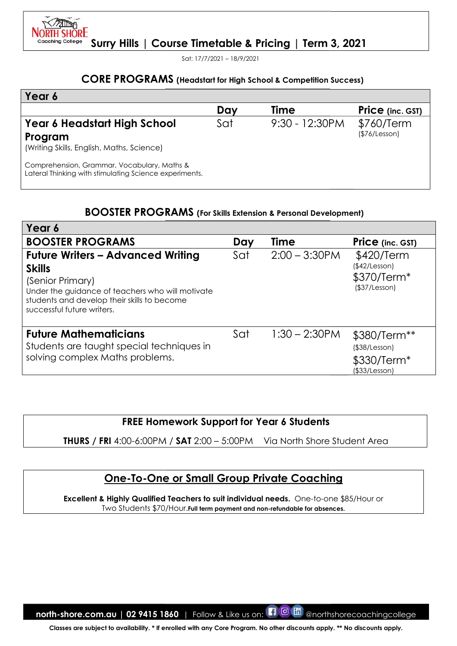Sat: 17/7/2021 – 18/9/2021

**SHORE** 

#### CORE PROGRAMS (Headstart for High School & Competition Success)

| Year 6                                                                                                |     |                   |                             |
|-------------------------------------------------------------------------------------------------------|-----|-------------------|-----------------------------|
|                                                                                                       | Day | Time              | <b>Price</b> (inc. GST)     |
| <b>Year 6 Headstart High School</b><br>Program<br>(Writing Skills, English, Maths, Science)           | Sat | $9:30 - 12:30$ PM | \$760/Term<br>(\$76/Lesson) |
| Comprehension, Grammar, Vocabulary, Maths &<br>Lateral Thinking with stimulating Science experiments. |     |                   |                             |

## BOOSTER PROGRAMS (For Skills Extension & Personal Development)

|                                                                                                                                                                                                                |     | <b>CORE PROGRAMS</b> (Headstart for High School & Competition Success)                  |                                                               |
|----------------------------------------------------------------------------------------------------------------------------------------------------------------------------------------------------------------|-----|-----------------------------------------------------------------------------------------|---------------------------------------------------------------|
| Year 6                                                                                                                                                                                                         |     |                                                                                         |                                                               |
|                                                                                                                                                                                                                | Day | <b>Time</b>                                                                             | <b>Price</b> (inc. GST)                                       |
| <b>Year 6 Headstart High School</b><br>Program<br>(Writing Skills, English, Maths, Science)                                                                                                                    | Sat | 9:30 - 12:30PM                                                                          | \$760/Term<br>(\$76/Lesson)                                   |
| Comprehension, Grammar, Vocabulary, Maths &<br>Lateral Thinking with stimulating Science experiments.                                                                                                          |     |                                                                                         |                                                               |
| <b>BOOSTER PROGRAMS</b> (For Skills Extension & Personal Development)                                                                                                                                          |     |                                                                                         |                                                               |
| Year 6                                                                                                                                                                                                         |     |                                                                                         |                                                               |
| <b>BOOSTER PROGRAMS</b>                                                                                                                                                                                        | Day | <b>Time</b>                                                                             | Price (inc. GST)                                              |
| <b>Future Writers - Advanced Writing</b><br><b>Skills</b><br>(Senior Primary)<br>Under the guidance of teachers who will motivate<br>students and develop their skills to become<br>successful future writers. | Sat | $2:00 - 3:30$ PM                                                                        | \$420/Term<br>(\$42/Lesson)<br>\$370/Term*<br>(\$37/Lesson)   |
| <b>Future Mathematicians</b><br>Students are taught special techniques in<br>solving complex Maths problems.                                                                                                   | Sat | $1:30 - 2:30$ PM                                                                        | \$380/Term**<br>(\$38/Lesson)<br>\$330/Term*<br>(\$33/Lesson) |
| <b>FREE Homework Support for Year 6 Students</b><br><b>THURS / FRI 4:00-6:00PM / SAT 2:00 - 5:00PM</b>                                                                                                         |     | Via North Shore Student Area                                                            |                                                               |
| <b>One-To-One or Small Group Private Coaching</b>                                                                                                                                                              |     |                                                                                         |                                                               |
|                                                                                                                                                                                                                |     | Excellent & Highly Qualified Teachers to suit individual needs. One-to-one \$85/Hour or |                                                               |

## FREE Homework Support for Support for Year 6 Students

## One-To-One or Small Group Private Coaching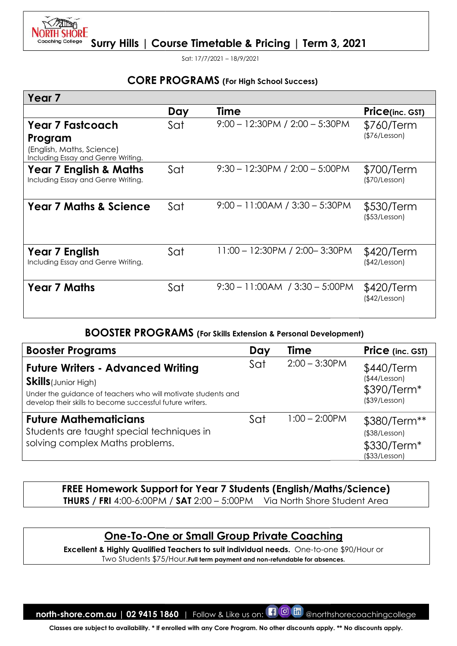

Sat: 17/7/2021 – 18/9/2021

## CORE PROGRAMS (For High School Success)

| Year <sub>7</sub>                                                                                                                                                                                     |     |      |     |                                    |                                                                                 |
|-------------------------------------------------------------------------------------------------------------------------------------------------------------------------------------------------------|-----|------|-----|------------------------------------|---------------------------------------------------------------------------------|
|                                                                                                                                                                                                       | Day | Time |     |                                    | <b>Price(inc. GST)</b>                                                          |
| Year 7 Fastcoach<br>Program<br>(English, Maths, Science)                                                                                                                                              | Sat |      |     | $9:00 - 12:30PM / 2:00 - 5:30PM$   | \$760/Term<br>(\$76/Lesson)                                                     |
| Including Essay and Genre Writing.<br>Year 7 English & Maths<br>Including Essay and Genre Writing.                                                                                                    | Sat |      |     | $9:30 - 12:30PM / 2:00 - 5:00PM$   | \$700/Term<br>(\$70/Lesson)                                                     |
| <b>Year 7 Maths &amp; Science</b>                                                                                                                                                                     | Sat |      |     | $9:00 - 11:00AM / 3:30 - 5:30PM$   | \$530/Term<br>(\$53/Lesson)                                                     |
| Year 7 English<br>Including Essay and Genre Writing.                                                                                                                                                  | Sat |      |     | 11:00 - 12:30PM / 2:00-3:30PM      | \$420/Term<br>(\$42/Lesson)                                                     |
| <b>Year 7 Maths</b>                                                                                                                                                                                   | Sat |      |     | $9:30 - 11:00AM$ / $3:30 - 5:00PM$ | \$420/Term<br>(\$42/Lesson)                                                     |
| <b>BOOSTER PROGRAMS</b> (For Skills Extension & Personal Development)                                                                                                                                 |     |      |     |                                    |                                                                                 |
| <b>Booster Programs</b>                                                                                                                                                                               |     |      | Day | Time                               | Price (inc. GST)                                                                |
| <b>Future Writers - Advanced Writing</b><br><b>Skills</b> (Junior High)<br>Under the guidance of teachers who will motivate students and<br>develop their skills to become successful future writers. |     |      | Sat | $2:00 - 3:30$ PM                   | \$440/Term<br>(\$44/Lesson)<br>\$390/Term*<br>(\$39/Lesson)                     |
| <b>Future Mathematicians</b><br>Students are taught special techniques in<br>solving complex Maths problems.                                                                                          |     |      | Sat | $1:00 - 2:00$ PM                   | \$380/Term**<br>$($ \$38/Lesson $)$<br>\$330/Term <sup>*</sup><br>(\$33/Lesson) |
| FREE Homework Support for Year 7 Students (English/Maths/Science)<br><b>THURS / FRI</b> 4:00-6:00PM / SAT 2:00 - 5:00PM Via North Shore Student Area                                                  |     |      |     |                                    |                                                                                 |
|                                                                                                                                                                                                       |     |      |     |                                    |                                                                                 |

#### BOOSTER PROGRAMS (For Skills Extension & Personal Development)

| <b>Booster Programs</b>                                                                                                                                                                               | Day | Time             | Price (inc. GST)                                                    |
|-------------------------------------------------------------------------------------------------------------------------------------------------------------------------------------------------------|-----|------------------|---------------------------------------------------------------------|
| <b>Future Writers - Advanced Writing</b><br><b>Skills</b> (Junior High)<br>Under the guidance of teachers who will motivate students and<br>develop their skills to become successful future writers. | Sat | $2:00 - 3:30$ PM | \$440/Term<br>(\$44/Lesson)<br>\$390/Term*<br>$($ \$39/Lesson $)$   |
| <b>Future Mathematicians</b><br>Students are taught special techniques in<br>solving complex Maths problems.                                                                                          | Sat | $1:00 - 2:00$ PM | \$380/Term**<br>(\$38/Lesson)<br>\$330/Term*<br>$($ \$33/Lesson $)$ |

## One-To-One or Small Group Private Coaching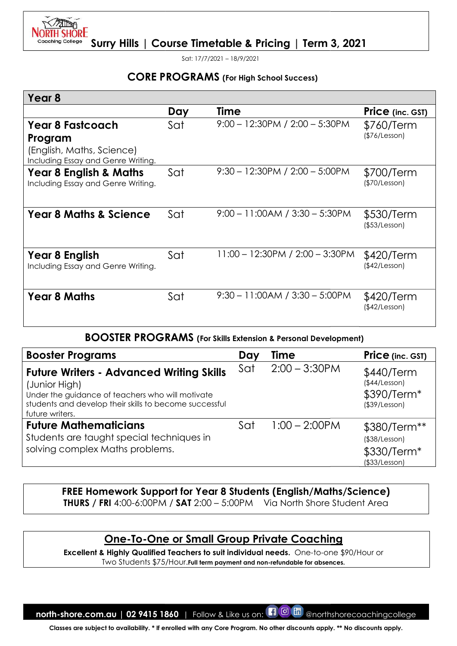

Sat: 17/7/2021 – 18/9/2021

## CORE PROGRAMS (For High School Success)

| Day | Time                                                                                    | Price (inc. GST)                                                                                                                                                                                                                                                                                                                                                                                                                                                                                 |
|-----|-----------------------------------------------------------------------------------------|--------------------------------------------------------------------------------------------------------------------------------------------------------------------------------------------------------------------------------------------------------------------------------------------------------------------------------------------------------------------------------------------------------------------------------------------------------------------------------------------------|
| Sat | $9:00 - 12:30PM / 2:00 - 5:30PM$                                                        | \$760/Term<br>(\$76/Lesson)                                                                                                                                                                                                                                                                                                                                                                                                                                                                      |
| Sat | $9:30 - 12:30PM / 2:00 - 5:00PM$                                                        | \$700/Term<br>(\$70/Lesson)                                                                                                                                                                                                                                                                                                                                                                                                                                                                      |
| Sat | $9:00 - 11:00AM / 3:30 - 5:30PM$                                                        | \$530/Term<br>(\$53/Lesson)                                                                                                                                                                                                                                                                                                                                                                                                                                                                      |
| Sat | 11:00 - 12:30PM / 2:00 - 3:30PM                                                         | \$420/Term<br>(\$42/Lesson)                                                                                                                                                                                                                                                                                                                                                                                                                                                                      |
| Sat | $9:30 - 11:00AM / 3:30 - 5:00PM$                                                        | \$420/Term<br>(\$42/Lesson)                                                                                                                                                                                                                                                                                                                                                                                                                                                                      |
|     |                                                                                         |                                                                                                                                                                                                                                                                                                                                                                                                                                                                                                  |
|     | Day<br>Time                                                                             | Price (inc. GST)                                                                                                                                                                                                                                                                                                                                                                                                                                                                                 |
|     | $2:00 - 3:30$ PM<br>Sat                                                                 | \$440/Term<br>(\$44/Lesson)<br>\$390/Term*<br>$($ \$39/Lesson $)$                                                                                                                                                                                                                                                                                                                                                                                                                                |
|     | $1:00 - 2:00$ PM<br>Sat                                                                 | \$380/Term**<br>$($ \$38/Lesson $)$<br>\$330/Term <sup>*</sup><br>(\$33/Lesson)                                                                                                                                                                                                                                                                                                                                                                                                                  |
|     |                                                                                         |                                                                                                                                                                                                                                                                                                                                                                                                                                                                                                  |
|     | Excellent & Highly Qualified Teachers to suit individual needs. One-to-one \$90/Hour or |                                                                                                                                                                                                                                                                                                                                                                                                                                                                                                  |
|     | solving complex Maths problems.                                                         | <b>BOOSTER PROGRAMS</b> (For Skills Extension & Personal Development)<br><b>Future Writers - Advanced Writing Skills</b><br>Under the guidance of teachers who will motivate<br>students and develop their skills to become successful<br>Students are taught special techniques in<br>FREE Homework Support for Year 8 Students (English/Maths/Science)<br><b>THURS</b> / FRI 4:00-6:00PM / SAT 2:00 - 5:00PM Via North Shore Student Area<br><u>One-To-One or Small Group Private Coaching</u> |

#### BOOSTER PROGRAMS (For Skills Extension & Personal Development)

| <b>Booster Programs</b>                                                                                                                                                                           | Dav | <b>Time</b>      | <b>Price</b> (inc. GST)                                       |
|---------------------------------------------------------------------------------------------------------------------------------------------------------------------------------------------------|-----|------------------|---------------------------------------------------------------|
| <b>Future Writers - Advanced Writing Skills</b><br>(Junior High)<br>Under the guidance of teachers who will motivate<br>students and develop their skills to become successful<br>future writers. | Sat | $2:00 - 3:30$ PM | \$440/Term<br>(\$44/Lesson)<br>\$390/Term*<br>(\$39/Lesson)   |
| <b>Future Mathematicians</b><br>Students are taught special techniques in<br>solving complex Maths problems.                                                                                      | Sat | $1:00 - 2:00$ PM | \$380/Term**<br>(\$38/Lesson)<br>\$330/Term*<br>(\$33/Lesson) |

## FREE Homework Support for Year 8 Students (English/Maths/Science) **THURS / FRI** 4:00-6:00PM **/ SAT** 2:00 – 5:00PM Via North Shore Student Area

## One-To-One or Small Group Private Coaching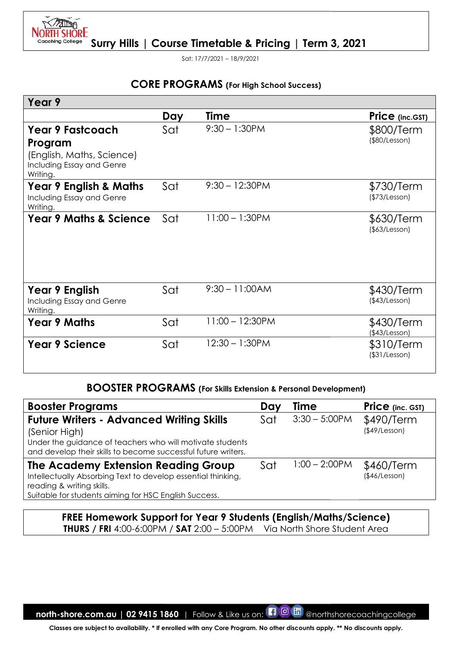

Sat: 17/7/2021 – 18/9/2021

## CORE PROGRAMS (For High School Success)

| Year 9                                                                                                                                                                                         |     |                   |     |                                                                          |                                   |
|------------------------------------------------------------------------------------------------------------------------------------------------------------------------------------------------|-----|-------------------|-----|--------------------------------------------------------------------------|-----------------------------------|
|                                                                                                                                                                                                | Day | Time              |     |                                                                          | Price (inc.GST)                   |
| <b>Year 9 Fastcoach</b><br>Program<br>(English, Maths, Science)<br>Including Essay and Genre<br>Writing.                                                                                       | Sat | $9:30 - 1:30$ PM  |     |                                                                          | \$800/Term<br>(\$80/Lesson)       |
| Year 9 English & Maths<br>Including Essay and Genre<br>Writing.                                                                                                                                | Sat | $9:30 - 12:30$ PM |     |                                                                          | \$730/Term<br>(\$73/Lesson)       |
| <b>Year 9 Maths &amp; Science</b>                                                                                                                                                              | Sat | $11:00 - 1:30$ PM |     |                                                                          | \$630/Term<br>$($ \$63/Lesson $)$ |
| Year 9 English<br>Including Essay and Genre<br>Writing.                                                                                                                                        | Sat | $9:30 - 11:00AM$  |     |                                                                          | \$430/Term<br>(\$43/Lesson)       |
| <b>Year 9 Maths</b>                                                                                                                                                                            | Sat | $11:00 - 12:30PM$ |     |                                                                          | \$430/Term<br>(\$43/Lesson)       |
| <b>Year 9 Science</b>                                                                                                                                                                          | Sat | $12:30 - 1:30$ PM |     |                                                                          | \$310/Term<br>$($ \$31/Lesson $)$ |
| <b>BOOSTER PROGRAMS</b> (For Skills Extension & Personal Development)                                                                                                                          |     |                   |     |                                                                          |                                   |
| <b>Booster Programs</b>                                                                                                                                                                        |     |                   | Day | <b>Time</b>                                                              | Price (inc. GST)                  |
| <b>Future Writers - Advanced Writing Skills</b><br>(Senior High)<br>Under the guidance of teachers who will motivate students<br>and develop their skills to become successful future writers. |     |                   | Sat | $3:30 - 5:00$ PM                                                         | \$490/Term<br>(\$49/Lesson)       |
| The Academy Extension Reading Group<br>Intellectually Absorbing Text to develop essential thinking,<br>reading & writing skills.<br>Suitable for students aiming for HSC English Success.      |     |                   | Sat | $1:00 - 2:00$ PM                                                         | \$460/Term<br>(\$46/Lesson)       |
|                                                                                                                                                                                                |     |                   |     | <b>FREE Homework Support for Year 9 Students (English/Maths/Science)</b> |                                   |

#### BOOSTER PROGRAMS (For Skills Extension & Personal Development)

| <b>Booster Programs</b>                                                                                                                                                                        | Day | Time             | <b>Price</b> (inc. GST)           |
|------------------------------------------------------------------------------------------------------------------------------------------------------------------------------------------------|-----|------------------|-----------------------------------|
| <b>Future Writers - Advanced Writing Skills</b><br>(Senior High)<br>Under the guidance of teachers who will motivate students<br>and develop their skills to become successful future writers. | Sat | $3:30 - 5:00$ PM | \$490/Term<br>$($ \$49/Lesson $)$ |
| The Academy Extension Reading Group<br>Intellectually Absorbing Text to develop essential thinking,<br>reading & writing skills.<br>Suitable for students aiming for HSC English Success.      | Sat | $1:00 - 2:00$ PM | \$460/Term<br>(\$46/Lesson)       |

## FREE Homework Support for Year 9 Students (English/Maths/Science) <code>THURS</code> / FRI 4:00-6:00PM / SAT 2:00 – 5:00PM  $\;$  Via North Shore Student Area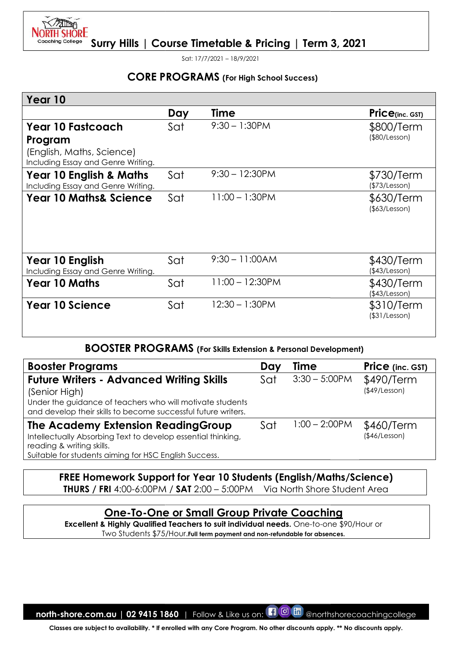

Sat: 17/7/2021 – 18/9/2021

## CORE PROGRAMS (For High School Success)

| Year 10                                                                                                                                                                                        |     |                                                                                         |     |                                                   |                                   |
|------------------------------------------------------------------------------------------------------------------------------------------------------------------------------------------------|-----|-----------------------------------------------------------------------------------------|-----|---------------------------------------------------|-----------------------------------|
|                                                                                                                                                                                                | Day | <b>Time</b>                                                                             |     |                                                   | Price(inc. GST)                   |
| <b>Year 10 Fastcoach</b><br>Program<br>(English, Maths, Science)                                                                                                                               | Sat | $9:30 - 1:30$ PM                                                                        |     |                                                   | \$800/Term<br>$($ \$80/Lesson $)$ |
| Including Essay and Genre Writing.<br><b>Year 10 English &amp; Maths</b><br>Including Essay and Genre Writing.                                                                                 | Sat | $9:30 - 12:30PM$                                                                        |     |                                                   | \$730/Term<br>(\$73/Lesson)       |
| <b>Year 10 Maths&amp; Science</b>                                                                                                                                                              | Sat | $11:00 - 1:30$ PM                                                                       |     |                                                   | \$630/Term<br>$($ \$63/Lesson $)$ |
| Year 10 English<br>Including Essay and Genre Writing.                                                                                                                                          | Sat | $9:30 - 11:00AM$                                                                        |     |                                                   | \$430/Term<br>(\$43/Lesson)       |
| <b>Year 10 Maths</b>                                                                                                                                                                           | Sat | $11:00 - 12:30PM$                                                                       |     |                                                   | \$430/Term<br>(\$43/Lesson)       |
| <b>Year 10 Science</b>                                                                                                                                                                         | Sat | $12:30 - 1:30$ PM                                                                       |     |                                                   | \$310/Term<br>(\$31/Lesson)       |
| <b>BOOSTER PROGRAMS</b> (For Skills Extension & Personal Development)                                                                                                                          |     |                                                                                         |     |                                                   |                                   |
| <b>Booster Programs</b>                                                                                                                                                                        |     |                                                                                         | Day | Time                                              | Price (inc. GST)                  |
| <b>Future Writers - Advanced Writing Skills</b><br>(Senior High)<br>Under the guidance of teachers who will motivate students<br>and develop their skills to become successful future writers. |     |                                                                                         | Sat | $3:30 - 5:00$ PM                                  | \$490/Term<br>$($ \$49/Lesson $)$ |
| The Academy Extension ReadingGroup<br>Intellectually Absorbing Text to develop essential thinking,<br>reading & writing skills.<br>Suitable for students aiming for HSC English Success.       |     |                                                                                         | Sat | $1:00 - 2:00$ PM                                  | \$460/Term<br>(\$46/Lesson)       |
| FREE Homework Support for Year 10 Students (English/Maths/Science)<br><b>THURS / FRI 4:00-6:00PM / SAT 2:00 - 5:00PM</b>                                                                       |     |                                                                                         |     | Via North Shore Student Area                      |                                   |
|                                                                                                                                                                                                |     | Excellent & Highly Qualified Teachers to suit individual needs. One-to-one \$90/Hour or |     | <b>One-To-One or Small Group Private Coaching</b> |                                   |

#### BOOSTER PROGRAMS PROGRAMS (For Skills Extension & Personal Development)

| <b>Booster Programs</b>                                                                                                                                                                        | Day | <b>Time</b>      | Price (inc. GST)            |
|------------------------------------------------------------------------------------------------------------------------------------------------------------------------------------------------|-----|------------------|-----------------------------|
| <b>Future Writers - Advanced Writing Skills</b><br>(Senior High)<br>Under the guidance of teachers who will motivate students<br>and develop their skills to become successful future writers. | Sat | $3:30 - 5:00$ PM | \$490/Term<br>(\$49/Lesson) |
| The Academy Extension Reading Group<br>Intellectually Absorbing Text to develop essential thinking,<br>reading & writing skills.<br>Suitable for students aiming for HSC English Success.      | Sat | $1:00 - 2:00$ PM | \$460/Term<br>(\$46/Lesson) |

## FREE Homework Support for Year 10 Students (English/Maths/Science) <code>THURS</code> / FRI 4:00-6:00PM / SAT 2:00 – 5:00PM  $\;$  Via North Shore Student Area

## One-To-One or Small Group Private Coaching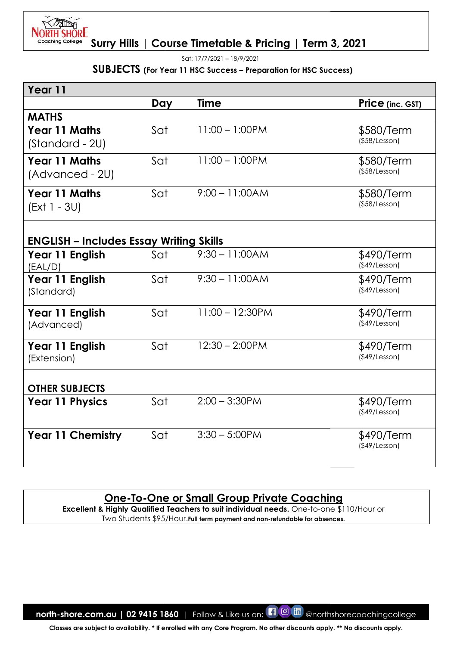

Sat: 17/7/2021 – 18/9/2021

#### SUBJECTS (For Year 11 HSC Success - Preparation for HSC Success)

| Year 11                                        |     |                                                                                                                                                                                                                             |                                   |
|------------------------------------------------|-----|-----------------------------------------------------------------------------------------------------------------------------------------------------------------------------------------------------------------------------|-----------------------------------|
|                                                | Day | Time                                                                                                                                                                                                                        | Price (inc. GST)                  |
| <b>MATHS</b>                                   |     |                                                                                                                                                                                                                             |                                   |
| <b>Year 11 Maths</b><br>(Standard - 2U)        | Sat | $11:00 - 1:00$ PM                                                                                                                                                                                                           | \$580/Term<br>(\$58/Lesson)       |
| <b>Year 11 Maths</b><br>(Advanced - 2U)        | Sat | $11:00 - 1:00$ PM                                                                                                                                                                                                           | \$580/Term<br>$($ \$58/Lesson $)$ |
| <b>Year 11 Maths</b><br>(Ext 1 - 3U)           | Sat | $9:00 - 11:00AM$                                                                                                                                                                                                            | \$580/Term<br>(\$58/Lesson)       |
| <b>ENGLISH – Includes Essay Writing Skills</b> |     |                                                                                                                                                                                                                             |                                   |
| Year 11 English<br>(EAL/D)                     | Sat | $9:30 - 11:00AM$                                                                                                                                                                                                            | \$490/Term<br>(\$49/Lesson)       |
| Year 11 English<br>(Standard)                  | Sat | $9:30 - 11:00AM$                                                                                                                                                                                                            | \$490/Term<br>(\$49/Lesson)       |
| Year 11 English<br>(Advanced)                  | Sat | $11:00 - 12:30$ PM                                                                                                                                                                                                          | \$490/Term<br>(\$49/Lesson)       |
| Year 11 English<br>(Extension)                 | Sat | $12:30 - 2:00$ PM                                                                                                                                                                                                           | \$490/Term<br>(\$49/Lesson)       |
| <b>OTHER SUBJECTS</b>                          |     |                                                                                                                                                                                                                             |                                   |
| <b>Year 11 Physics</b>                         | Sat | $2:00 - 3:30$ PM                                                                                                                                                                                                            | \$490/Term<br>$($ \$49/Lesson $)$ |
| <b>Year 11 Chemistry</b>                       | Sat | $3:30 - 5:00$ PM                                                                                                                                                                                                            | \$490/Term<br>$($ \$49/Lesson $)$ |
|                                                |     | <u>One-To-One or Small Group Private Coaching</u><br>Excellent & Highly Qualified Teachers to suit individual needs. One-to-one \$110/Hour or<br>Two Students \$95/Hour. Full term payment and non-refundable for absences. |                                   |

## One-To-One or Small Group Private Coaching